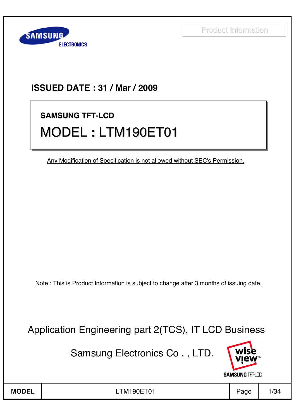Product Information



# **ISSUED DATE : 31 / Mar / 2009**

# **SAMSUNG TFT-LCD SAMSUNG TFT SAMSUNG TFT-LCD** MODEL **:** LTM190ET01 MODEL **:** LTM190ET01 LTM190ET01

Any Modification of Specification is not allowed without SEC's Permission.

Note : This is Product Information is subject to change after 3 months of issuing date.

Application Engineering part 2(TCS), IT LCD Business

Samsung Electronics Co . , LTD.

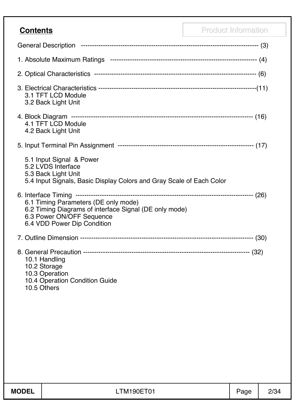| <b>Contents</b>                                                                                                                                            | <b>Product Information</b> |
|------------------------------------------------------------------------------------------------------------------------------------------------------------|----------------------------|
|                                                                                                                                                            |                            |
|                                                                                                                                                            |                            |
|                                                                                                                                                            |                            |
| 3.1 TFT LCD Module<br>3.2 Back Light Unit                                                                                                                  |                            |
| 4.1 TFT LCD Module<br>4.2 Back Light Unit                                                                                                                  |                            |
|                                                                                                                                                            |                            |
| 5.1 Input Signal & Power<br>5.2 LVDS Interface<br>5.3 Back Light Unit<br>5.4 Input Signals, Basic Display Colors and Gray Scale of Each Color              |                            |
| 6.1 Timing Parameters (DE only mode)<br>6.2 Timing Diagrams of interface Signal (DE only mode)<br>6.3 Power ON/OFF Sequence<br>6.4 VDD Power Dip Condition |                            |
|                                                                                                                                                            |                            |
| 10.1 Handling<br>10.2 Storage<br>10.3 Operation<br>10.4 Operation Condition Guide<br>10.5 Others                                                           |                            |
|                                                                                                                                                            |                            |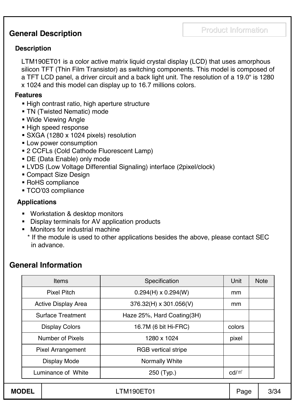## **General Description**

#### **Description**

LTM190ET01 is a color active matrix liquid crystal display (LCD) that uses amorphous silicon TFT (Thin Film Transistor) as switching components. This model is composed of a TFT LCD panel, a driver circuit and a back light unit. The resolution of a 19.0" is 1280 x 1024 and this model can display up to 16.7 millions colors.

#### **Features**

- **High contrast ratio, high aperture structure**
- **TN (Twisted Nematic) mode**
- Wide Viewing Angle
- High speed response
- SXGA (1280 x 1024 pixels) resolution
- **Low power consumption**
- 2 CCFLs (Cold Cathode Fluorescent Lamp)
- DE (Data Enable) only mode
- LVDS (Low Voltage Differential Signaling) interface (2pixel/clock)
- **Compact Size Design**
- RoHS compliance
- TCO'03 compliance

#### **Applications**

- Workstation & desktop monitors
- **-** Display terminals for AV application products
- **•** Monitors for industrial machine
	- \* If the module is used to other applications besides the above, please contact SEC in advance.

## **General Information**

| <b>Items</b>               |                          | Specification              |       | <b>Note</b> |
|----------------------------|--------------------------|----------------------------|-------|-------------|
| <b>Pixel Pitch</b>         |                          | $0.294(H) \times 0.294(W)$ |       |             |
| <b>Active Display Area</b> |                          | 376.32(H) x 301.056(V)     | mm    |             |
| <b>Surface Treatment</b>   |                          | Haze 25%, Hard Coating(3H) |       |             |
| <b>Display Colors</b>      |                          | 16.7M (6 bit Hi-FRC)       |       |             |
| Number of Pixels           |                          | 1280 x 1024                | pixel |             |
|                            | <b>Pixel Arrangement</b> | <b>RGB</b> vertical stripe |       |             |
|                            | <b>Display Mode</b>      | <b>Normally White</b>      |       |             |
| Luminance of White         |                          | 250 (Typ.)                 |       |             |
| <b>MODEL</b>               |                          | LTM190ET01                 | Page  | 3/34        |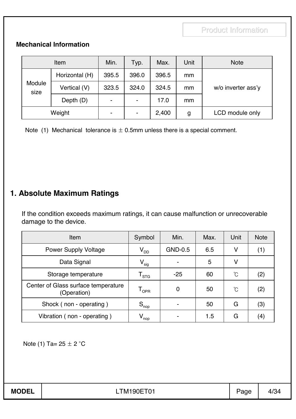#### **Mechanical Information**

| Item           |                | Min.           | Typ.                     | Max.  | Unit | <b>Note</b>        |
|----------------|----------------|----------------|--------------------------|-------|------|--------------------|
|                | Horizontal (H) | 395.5          | 396.0                    | 396.5 | mm   |                    |
| Module<br>size | Vertical (V)   | 323.5          | 324.0                    | 324.5 | mm   | w/o inverter ass'y |
|                | Depth (D)      | $\blacksquare$ | $\overline{\phantom{a}}$ | 17.0  | mm   |                    |
| Weight         |                | ۰              | $\blacksquare$           | 2,400 | g    | LCD module only    |

Note (1) Mechanical tolerance is  $\pm$  0.5mm unless there is a special comment.

# **1. Absolute Maximum Ratings**

If the condition exceeds maximum ratings, it can cause malfunction or unrecoverable damage to the device.

| Item                                               | Symbol                      | Min.    | Max. | Unit | <b>Note</b> |
|----------------------------------------------------|-----------------------------|---------|------|------|-------------|
| <b>Power Supply Voltage</b>                        | $\mathsf{V}_{\mathsf{DD}}$  | GND-0.5 | 6.5  | V    | (1)         |
| Data Signal                                        | $V_{sig}$                   |         | 5    | V    |             |
| Storage temperature                                | $\mathsf{T}_{\textsf{STG}}$ | $-25$   | 60   | °C   | (2)         |
| Center of Glass surface temperature<br>(Operation) | $\mathsf{I}_{\mathsf{OPR}}$ | 0       | 50   | °C   | (2)         |
| Shock (non - operating)                            | $S_{\text{nop}}$            |         | 50   | G    | (3)         |
| Vibration (non - operating)                        | $V_{\text{nop}}$            |         | 1.5  | G    | (4)         |

Note (1) Ta=  $25 \pm 2$  °C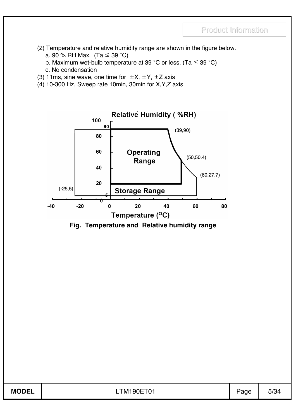- (2) Temperature and relative humidity range are shown in the figure below.
	- a. 90 % RH Max. (Ta  $\leq$  39 °C)
	- b. Maximum wet-bulb temperature at 39 °C or less. (Ta  $\leq$  39 °C)
	- c. No condensation
- (3) 11ms, sine wave, one time for  $\pm X$ ,  $\pm Y$ ,  $\pm Z$  axis
- (4) 10-300 Hz, Sweep rate 10min, 30min for X,Y,Z axis

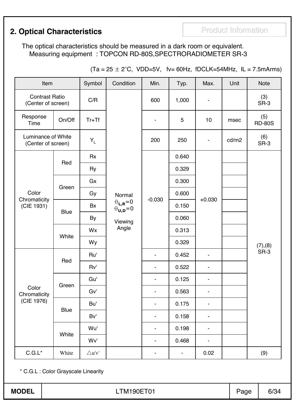# **2. Optical Characteristics**

Product Information

The optical characteristics should be measured in a dark room or equivalent. Measuring equipment : TOPCON RD-80S,SPECTRORADIOMETER SR-3

| Item                                        |              | Symbol                             | Condition                                                       | Min.                     | Typ.                         | Max.                     | Unit  | <b>Note</b>          |  |  |
|---------------------------------------------|--------------|------------------------------------|-----------------------------------------------------------------|--------------------------|------------------------------|--------------------------|-------|----------------------|--|--|
| <b>Contrast Ratio</b><br>(Center of screen) |              | C/R                                |                                                                 | 600                      | 1,000                        |                          |       | (3)<br>SR-3          |  |  |
| Response<br>Time                            | On/Off       | $Tr+Tf$                            |                                                                 | $\blacksquare$           | 5                            | 10                       | msec  | (5)<br><b>RD-80S</b> |  |  |
| Luminance of White<br>(Center of screen)    |              | $\mathsf{Y}_\mathsf{L}$            |                                                                 | 200                      | 250                          |                          | cd/m2 | (6)<br>SR-3          |  |  |
|                                             |              | Rx                                 |                                                                 |                          | 0.640                        |                          |       |                      |  |  |
|                                             | Red          | Ry                                 |                                                                 |                          | 0.329                        |                          |       |                      |  |  |
|                                             |              | Gx                                 |                                                                 |                          | 0.300                        |                          |       |                      |  |  |
| Color                                       | Green        | Gy                                 | Normal                                                          | $-0.030$                 | 0.600                        | $+0.030$                 |       |                      |  |  |
| Chromaticity<br>(CIE 1931)                  | <b>Blue</b>  | Bx                                 | $\Theta_{L,R} = 0$<br>$\Theta_{\mathsf{U},\mathsf{D}}\text{=}0$ |                          | 0.150                        |                          |       |                      |  |  |
|                                             |              | By                                 | Viewing                                                         |                          | 0.060                        |                          |       |                      |  |  |
|                                             | White        | Wx                                 | Angle                                                           |                          | 0.313                        |                          |       |                      |  |  |
|                                             |              | Wy                                 |                                                                 |                          | 0.329                        |                          |       | (7), (8)             |  |  |
|                                             | Red          | Ru'                                |                                                                 | $\overline{\phantom{a}}$ | 0.452                        | $\overline{\phantom{a}}$ |       | SR-3                 |  |  |
|                                             |              | Rv'                                |                                                                 | $\overline{\phantom{a}}$ | 0.522                        | -                        |       |                      |  |  |
|                                             | Green        | Gu'                                |                                                                 | $\overline{\phantom{a}}$ | 0.125                        | $\overline{\phantom{a}}$ |       |                      |  |  |
| Color<br>Chromaticity                       |              | Gv'                                |                                                                 |                          | 0.563                        |                          |       |                      |  |  |
| (CIE 1976)                                  | <b>Blue</b>  | Bu'                                |                                                                 | $\overline{\phantom{a}}$ | 0.175                        | $\blacksquare$           |       |                      |  |  |
|                                             |              | Bv'                                |                                                                 | $\overline{\phantom{a}}$ | 0.158                        | -                        |       |                      |  |  |
|                                             |              | Wu'                                |                                                                 | $\blacksquare$           | 0.198                        | -                        |       |                      |  |  |
|                                             | White<br>Wv' |                                    | $\overline{\phantom{a}}$                                        | 0.468                    | $\qquad \qquad \blacksquare$ |                          |       |                      |  |  |
| $C.G.L^*$                                   | White        | $\bigtriangleup {\bf u}' {\bf v}'$ |                                                                 | -                        | $\overline{\phantom{a}}$     | 0.02                     |       | (9)                  |  |  |

 $(Ta = 25 \pm 2^{\circ}C, VDD=5V, tv= 60Hz, fDCLK=54MHz, IL = 7.5mArms)$ 

\* C.G.L : Color Grayscale Linearity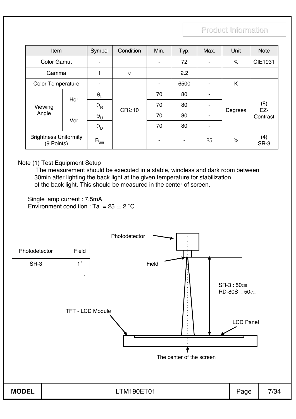Product Information

| Item                                       |      | Symbol                | Condition   | Min. | Typ. | Max. | Unit                 | <b>Note</b>            |
|--------------------------------------------|------|-----------------------|-------------|------|------|------|----------------------|------------------------|
| <b>Color Gamut</b>                         |      |                       |             | ۰    | 72   |      | $\%$                 | <b>CIE1931</b>         |
| Gamma                                      |      |                       | γ           |      | 2.2  |      |                      |                        |
| <b>Color Temperature</b>                   |      |                       |             |      | 6500 |      | K                    |                        |
|                                            | Hor. | $\Theta_{\sf L}$      |             | 70   | 80   |      | Degrees              | (8)<br>EZ-<br>Contrast |
| Viewing                                    |      | $\Theta_{\sf R}$      |             | 70   | 80   |      |                      |                        |
| Angle                                      |      | $\Theta_{\sf U}$      | $CR \ge 10$ | 70   | 80   |      |                      |                        |
|                                            | Ver. | $\Theta_{\mathsf{D}}$ |             | 70   | 80   |      |                      |                        |
| <b>Brightness Uniformity</b><br>(9 Points) |      | $B_{\text{uni}}$      |             | ۰    | ۰    | 25   | $\frac{1}{\sqrt{2}}$ | (4)<br>SR-3            |

#### Note (1) Test Equipment Setup

The measurement should be executed in a stable, windless and dark room between 30min after lighting the back light at the given temperature for stabilization of the back light. This should be measured in the center of screen.

Single lamp current : 7.5mA Environment condition : Ta =  $25 \pm 2$  °C

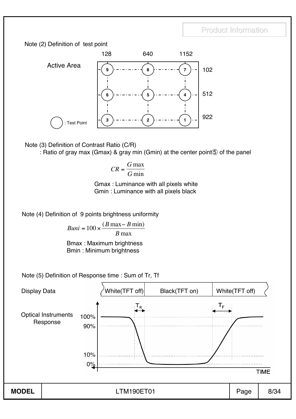## Product Information

Note (2) Definition of test point



Note (3) Definition of Contrast Ratio (C/R)

: Ratio of gray max (Gmax) & gray min (Gmin) at the center point  $\circled{5}$  of the panel

$$
CR = \frac{G \max}{G \min}
$$

Gmax : Luminance with all pixels white Gmin : Luminance with all pixels black

Note (4) Definition of 9 points brightness uniformity

$$
Buni = 100 \times \frac{(B \max - B \min)}{B \max}
$$

Bmax : Maximum brightness Bmin : Minimum brightness

Note (5) Definition of Response time : Sum of Tr, Tf

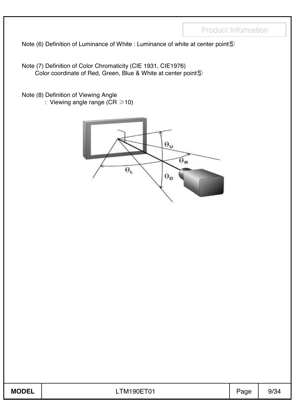Note (6) Definition of Luminance of White : Luminance of white at center point 5

Note (7) Definition of Color Chromaticity (CIE 1931, CIE1976) Color coordinate of Red, Green, Blue & White at center point (5)

Note (8) Definition of Viewing Angle

: Viewing angle range ( $\overline{CR} \ge 10$ )



| <b>MODEL</b> | LTM190ET01 | Page | 9/34 |
|--------------|------------|------|------|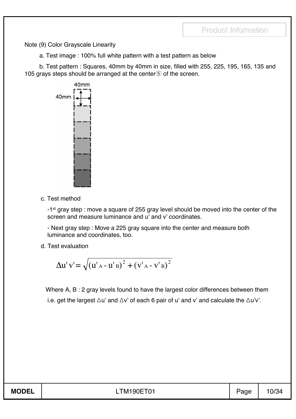Note (9) Color Grayscale Linearity

a. Test image : 100% full white pattern with a test pattern as below

b. Test pattern : Squares, 40mm by 40mm in size, filled with 255, 225, 195, 165, 135 and 105 grays steps should be arranged at the center $\delta$  of the screen.



c. Test method

-1st gray step : move a square of 255 gray level should be moved into the center of the screen and measure luminance and u' and v' coordinates.

- Next gray step : Move a 225 gray square into the center and measure both luminance and coordinates, too.

d. Test evaluation

$$
\Delta u' v' = \sqrt{(u'_{A} - u'_{B})^{2} + (v'_{A} - v'_{B})^{2}}
$$

Where A, B : 2 gray levels found to have the largest color differences between them i.e. get the largest  $\Delta u'$  and  $\Delta v'$  of each 6 pair of u' and v' and calculate the  $\Delta u'v'$ .

| <b>MODEL</b> | TM190ET01 | Page | 10/34 |
|--------------|-----------|------|-------|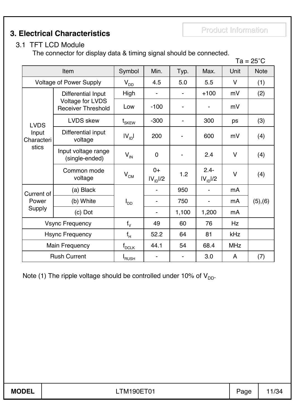# **3. Electrical Characteristics**

## 3.1 TFT LCD Module

The connector for display data & timing signal should be connected.

|                        |                                               |                            |                              |                          |                                 |                | $Ta = 25^{\circ}C$ |
|------------------------|-----------------------------------------------|----------------------------|------------------------------|--------------------------|---------------------------------|----------------|--------------------|
| Item                   |                                               | Symbol                     | Min.                         | Typ.                     | Max.                            | Unit           | <b>Note</b>        |
|                        | <b>Voltage of Power Supply</b>                | $V_{DD}$                   | 4.5                          | 5.0                      | 5.5                             | $\vee$         | (1)                |
|                        | Differential Input                            | High                       |                              |                          | $+100$                          | mV             | (2)                |
|                        | Voltage for LVDS<br><b>Receiver Threshold</b> | Low                        | $-100$                       |                          |                                 | mV             |                    |
| <b>LVDS</b>            | <b>LVDS</b> skew                              | $\mathfrak{t}_{\rm SKEW}$  | $-300$                       |                          | 300                             | ps             | (3)                |
| Input<br>Characteri    | Differential input<br>voltage                 | IV <sub>1D</sub> I         | 200                          |                          | 600                             | mV             | (4)                |
| stics                  | Input voltage range<br>(single-ended)         | $V_{IN}$                   | $\mathbf 0$                  | $\overline{\phantom{0}}$ | 2.4                             | $\vee$         | (4)                |
|                        | Common mode<br>voltage                        | $\mathsf{V}_{\mathrm{CM}}$ | $0+$<br>IV <sub>ID</sub> I/2 | 1.2                      | $2.4 -$<br>IV <sub>ID</sub> I/2 | $\vee$         | (4)                |
| Current of             | (a) Black                                     |                            |                              | 950                      | $\blacksquare$                  | mA             |                    |
| Power                  | (b) White                                     | $I_{DD}$                   |                              | 750                      |                                 | mA             | (5), (6)           |
| Supply                 | (c) Dot                                       |                            |                              | 1,100                    | 1,200                           | mA             |                    |
| <b>Vsync Frequency</b> |                                               | $f_V$                      | 49                           | 60                       | 76                              | Hz             |                    |
| <b>Hsync Frequency</b> |                                               | $\mathsf{f}_{\mathsf{H}}$  | 52.2                         | 64                       | 81                              | kHz            |                    |
| <b>Main Frequency</b>  |                                               | $f_{DCLK}$                 | 44.1                         | 54                       | 68.4                            | <b>MHz</b>     |                    |
| <b>Rush Current</b>    |                                               | <b>I</b> RUSH              |                              |                          | 3.0                             | $\overline{A}$ | (7)                |

Note (1) The ripple voltage should be controlled under 10% of  $V_{DD}$ .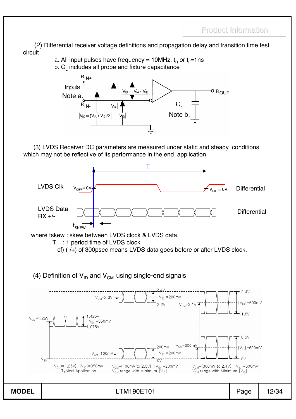(2) Differential receiver voltage definitions and propagation delay and transition time test circuit

a. All input pulses have frequency = 10MHz,  $t<sub>B</sub>$  or  $t<sub>F</sub>=1$ ns b.  $C_{\text{l}}$  includes all probe and fixture capacitance



(3) LVDS Receiver DC parameters are measured under static and steady conditions which may not be reflective of its performance in the end application.



cf) (-/+) of 300psec means LVDS data goes before or after LVDS clock.

(4) Definition of  $V_{ID}$  and  $V_{CM}$  using single-end signals

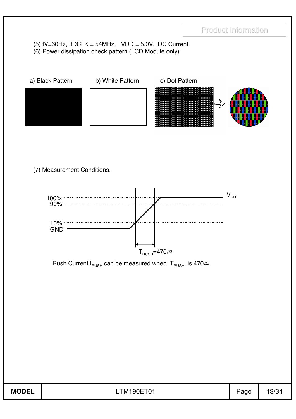(5)  $fV=60Hz$ ,  $fDCLK = 54MHz$ ,  $VDD = 5.0V$ , DC Current.

(6) Power dissipation check pattern (LCD Module only)

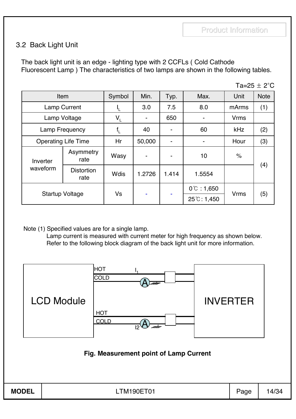## 3.2 Back Light Unit

The back light unit is an edge - lighting type with 2 CCFLs ( Cold Cathode Fluorescent Lamp ) The characteristics of two lamps are shown in the following tables.

|                            |                           |             |        |       |                       |                      | Ta=25 $\pm$ 2°C |
|----------------------------|---------------------------|-------------|--------|-------|-----------------------|----------------------|-----------------|
|                            | Item                      | Symbol      | Min.   | Typ.  | Max.                  | Unit                 | <b>Note</b>     |
|                            | <b>Lamp Current</b>       | Ч.          | 3.0    | 7.5   | 8.0                   | mArms                | (1)             |
|                            | Lamp Voltage              | $V_L$       |        | 650   |                       | <b>Vrms</b>          |                 |
| Lamp Frequency             |                           | $f_{\rm L}$ | 40     |       | 60                    | kHz                  | (2)             |
| <b>Operating Life Time</b> |                           | Hr          | 50,000 |       |                       | Hour                 | (3)             |
| Inverter                   | Asymmetry<br>rate         | Wasy        |        |       | 10                    | $\frac{1}{\sqrt{2}}$ |                 |
| waveform                   | <b>Distortion</b><br>rate | <b>Wdis</b> | 1.2726 | 1.414 | 1.5554                |                      | (4)             |
| <b>Startup Voltage</b>     |                           |             |        |       | $0^{\circ}$ : 1,650   |                      |                 |
|                            |                           | Vs          |        |       | $25^{\circ}$ C: 1,450 | <b>Vrms</b>          | (5)             |

Note (1) Specified values are for a single lamp.

Lamp current is measured with current meter for high frequency as shown below. Refer to the following block diagram of the back light unit for more information.

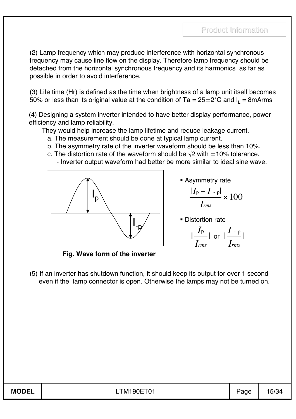(2) Lamp frequency which may produce interference with horizontal synchronous frequency may cause line flow on the display. Therefore lamp frequency should be detached from the horizontal synchronous frequency and its harmonics as far as possible in order to avoid interference.

(3) Life time (Hr) is defined as the time when brightness of a lamp unit itself becomes 50% or less than its original value at the condition of Ta =  $25\pm2^{\circ}$ C and  $I_1 = 8$ mArms

(4) Designing a system inverter intended to have better display performance, power efficiency and lamp reliability.

They would help increase the lamp lifetime and reduce leakage current.

- a. The measurement should be done at typical lamp current.
- b. The asymmetry rate of the inverter waveform should be less than 10%.
- c. The distortion rate of the waveform should be  $\sqrt{2}$  with  $\pm 10\%$  tolerance.
	- Inverter output waveform had better be more similar to ideal sine wave.



**Asymmetry rate** 

$$
\frac{|I_{\rm p}-I_{\rm -p}|}{I_{\rm rms}}\times 100
$$

Distortion rate

$$
\frac{I_{\rm p}}{I_{rms}}| \text{ or } |\frac{I_{\rm -p}}{I_{rms}}|
$$

**Fig. Wave form of the inverter**

(5) If an inverter has shutdown function, it should keep its output for over 1 second even if the lamp connector is open. Otherwise the lamps may not be turned on.

| <b>MODEL</b> | $-$ T01 $-$<br><b>TM190E1、</b> | aqe<br>پ | 15/34 |
|--------------|--------------------------------|----------|-------|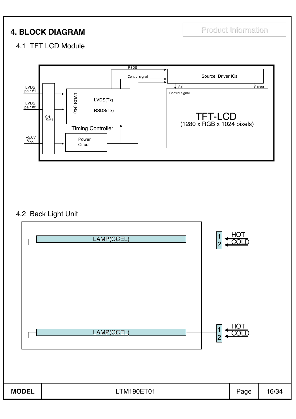# **4. BLOCK DIAGRAM**

Product Information

## 4.1 TFT LCD Module



#### 4.2 Back Light Unit

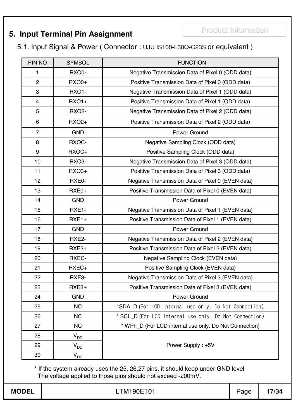# **5. Input Terminal Pin Assignment**

Product Information

#### 5.1. Input Signal & Power ( Connector : UJU IS100-L30O-C23S or equivalent )

| PIN NO          | <b>SYMBOL</b>      | <b>FUNCTION</b>                                        |
|-----------------|--------------------|--------------------------------------------------------|
| 1               | RXO0-              | Negative Transmission Data of Pixel 0 (ODD data)       |
| $\overline{c}$  | <b>RXO0+</b>       | Positive Transmission Data of Pixel 0 (ODD data)       |
| 3               | <b>RXO1-</b>       | Negative Transmission Data of Pixel 1 (ODD data)       |
| 4               | <b>RXO1+</b>       | Positive Transmission Data of Pixel 1 (ODD data)       |
| 5               | <b>RXO2-</b>       | Negative Transmission Data of Pixel 2 (ODD data)       |
| 6               | <b>RXO2+</b>       | Positive Transmission Data of Pixel 2 (ODD data)       |
| $\overline{7}$  | <b>GND</b>         | Power Ground                                           |
| 8               | RXOC-              | Negative Sampling Clock (ODD data)                     |
| 9               | RXOC+              | Positive Sampling Clock (ODD data)                     |
| 10              | RXO <sub>3</sub> - | Negative Transmission Data of Pixel 3 (ODD data)       |
| 11              | <b>RXO3+</b>       | Positive Transmission Data of Pixel 3 (ODD data)       |
| 12 <sub>2</sub> | RXE0-              | Negative Transmission Data of Pixel 0 (EVEN data)      |
| 13              | RXE0+              | Positive Transmission Data of Pixel 0 (EVEN data)      |
| 14              | <b>GND</b>         | Power Ground                                           |
| 15              | RXE1-              | Negative Transmission Data of Pixel 1 (EVEN data)      |
| 16              | $RXE1+$            | Positive Transmission Data of Pixel 1 (EVEN data)      |
| 17              | <b>GND</b>         | Power Ground                                           |
| 18              | RXE2-              | Negative Transmission Data of Pixel 2 (EVEN data)      |
| 19              | RXE <sub>2+</sub>  | Positive Transmission Data of Pixel 2 (EVEN data)      |
| 20              | RXEC-              | Negative Sampling Clock (EVEN data)                    |
| 21              | RXEC+              | Positive Sampling Clock (EVEN data)                    |
| 22              | RXE3-              | Negative Transmission Data of Pixel 3 (EVEN data)      |
| 23              | RXE3+              | Positive Transmission Data of Pixel 3 (EVEN data)      |
| 24              | <b>GND</b>         | Power Ground                                           |
| 25              | <b>NC</b>          | *SDA_D (For LCD internal use only. Do Not Connection)  |
| 26              | <b>NC</b>          | * SCL_D (For LCD internal use only. Do Not Connection) |
| 27              | <b>NC</b>          | * WPn_D (For LCD internal use only. Do Not Connection) |
| 28              | $V_{DD}$           |                                                        |
| 29              | $V_{DD}$           | Power Supply: +5V                                      |
| 30              | $V_{DD}$           |                                                        |

\* If the system already uses the 25, 26,27 pins, it should keep under GND level The voltage applied to those pins should not exceed -200mV.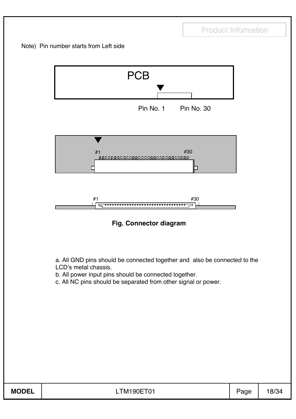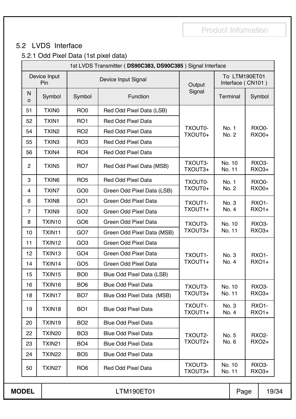#### 5.2 LVDS Interface

## 5.2.1 Odd Pixel Data (1st pixel data)

|                | 1st LVDS Transmitter (DS90C383, DS90C385) Signal Interface |                 |                            |                    |                                    |                              |  |  |  |  |  |  |
|----------------|------------------------------------------------------------|-----------------|----------------------------|--------------------|------------------------------------|------------------------------|--|--|--|--|--|--|
|                | Device Input<br>Pin                                        |                 | Device Input Signal        | Output             | To LTM190ET01<br>Interface (CN101) |                              |  |  |  |  |  |  |
| N<br>$\Omega$  | Symbol                                                     | Symbol          | Function                   | Signal             | <b>Terminal</b>                    | Symbol                       |  |  |  |  |  |  |
| 51             | <b>TXINO</b>                                               | RO <sub>0</sub> | Red Odd Pixel Data (LSB)   |                    |                                    |                              |  |  |  |  |  |  |
| 52             | <b>TXIN1</b>                                               | RO <sub>1</sub> | <b>Red Odd Pixel Data</b>  |                    |                                    |                              |  |  |  |  |  |  |
| 54             | TXIN <sub>2</sub>                                          | RO <sub>2</sub> | <b>Red Odd Pixel Data</b>  | TXOUT0-<br>TXOUT0+ | No. 1<br>No. 2                     | <b>RXO0-</b><br><b>RXO0+</b> |  |  |  |  |  |  |
| 55             | TXIN <sub>3</sub>                                          | RO <sub>3</sub> | Red Odd Pixel Data         |                    |                                    |                              |  |  |  |  |  |  |
| 56             | TXIN4                                                      | RO <sub>4</sub> | Red Odd Pixel Data         |                    |                                    |                              |  |  |  |  |  |  |
| $\mathbf{2}$   | TXIN <sub>5</sub>                                          | RO <sub>7</sub> | Red Odd Pixel Data (MSB)   | TXOUT3-<br>TXOUT3+ | No. 10<br>No. 11                   | <b>RXO3-</b><br><b>RXO3+</b> |  |  |  |  |  |  |
| 3              | TXIN6                                                      | RO <sub>5</sub> | <b>Red Odd Pixel Data</b>  | TXOUT0-            | No. 1                              | RXO0-                        |  |  |  |  |  |  |
| 4              | <b>TXIN7</b>                                               | GO <sub>0</sub> | Green Odd Pixel Data (LSB) | TXOUT0+            | No. 2                              | <b>RXO0+</b>                 |  |  |  |  |  |  |
| 6              | <b>TXIN8</b>                                               | GO <sub>1</sub> | Green Odd Pixel Data       | TXOUT1-            | No. 3                              | RXO1-                        |  |  |  |  |  |  |
| $\overline{7}$ | TXIN9                                                      | GO <sub>2</sub> | Green Odd Pixel Data       | TXOUT1+            | No. 4                              | <b>RXO1+</b>                 |  |  |  |  |  |  |
| 8              | TXIN10                                                     | GO <sub>6</sub> | Green Odd Pixel Data       | TXOUT3-            | No. 10                             | <b>RXO3-</b>                 |  |  |  |  |  |  |
| 10             | TXIN11                                                     | GO <sub>7</sub> | Green Odd Pixel Data (MSB) | TXOUT3+            | No. 11                             | <b>RXO3+</b>                 |  |  |  |  |  |  |
| 11             | TXIN12                                                     | GO <sub>3</sub> | Green Odd Pixel Data       |                    | No. 3                              |                              |  |  |  |  |  |  |
| 12             | TXIN13                                                     | GO <sub>4</sub> | Green Odd Pixel Data       | TXOUT1-            |                                    | <b>RXO1-</b>                 |  |  |  |  |  |  |
| 14             | TXIN14                                                     | GO <sub>5</sub> | Green Odd Pixel Data       | TXOUT1+            | No. 4                              | <b>RXO1+</b>                 |  |  |  |  |  |  |
| 15             | TXIN15                                                     | BO <sub>0</sub> | Blue Odd Pixel Data (LSB)  |                    |                                    |                              |  |  |  |  |  |  |
| 16             | TXIN16                                                     | BO <sub>6</sub> | <b>Blue Odd Pixel Data</b> | TXOUT3-            | No. 10                             | RXO3-                        |  |  |  |  |  |  |
| 18             | TXIN17                                                     | BO <sub>7</sub> | Blue Odd Pixel Data (MSB)  | TXOUT3+            | No. 11                             | <b>RXO3+</b>                 |  |  |  |  |  |  |
| 19             | TXIN18                                                     | BO <sub>1</sub> | <b>Blue Odd Pixel Data</b> | TXOUT1-<br>TXOUT1+ | No. 3<br>No. 4                     | <b>RXO1-</b><br><b>RXO1+</b> |  |  |  |  |  |  |
| 20             | TXIN19                                                     | BO <sub>2</sub> | <b>Blue Odd Pixel Data</b> |                    |                                    |                              |  |  |  |  |  |  |
| 22             | TXIN20                                                     | BO <sub>3</sub> | <b>Blue Odd Pixel Data</b> | TXOUT2-            | No. 5                              | <b>RXO2-</b>                 |  |  |  |  |  |  |
| 23             | TXIN21                                                     | BO <sub>4</sub> | <b>Blue Odd Pixel Data</b> | TXOUT2+            | No. 6                              | <b>RXO2+</b>                 |  |  |  |  |  |  |
| 24             | <b>TXIN22</b>                                              | BO <sub>5</sub> | <b>Blue Odd Pixel Data</b> |                    |                                    |                              |  |  |  |  |  |  |
| 50             | TXIN27                                                     | RO <sub>6</sub> | <b>Red Odd Pixel Data</b>  | TXOUT3-<br>TXOUT3+ | No. 10<br>No. 11                   | RXO3-<br><b>RXO3+</b>        |  |  |  |  |  |  |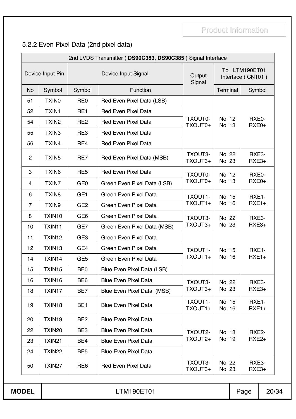# 5.2.2 Even Pixel Data (2nd pixel data)

| 2nd LVDS Transmitter (DS90C383, DS90C385) Signal Interface |                    |                 |                                       |                    |                  |                                    |  |  |  |  |  |
|------------------------------------------------------------|--------------------|-----------------|---------------------------------------|--------------------|------------------|------------------------------------|--|--|--|--|--|
| Device Input Pin                                           |                    |                 | Device Input Signal                   | Output<br>Signal   |                  | To LTM190ET01<br>Interface (CN101) |  |  |  |  |  |
| <b>No</b>                                                  | Symbol             | Symbol          | <b>Function</b>                       |                    | Terminal         | Symbol                             |  |  |  |  |  |
| 51                                                         | <b>TXINO</b>       | RE <sub>0</sub> | Red Even Pixel Data (LSB)             |                    |                  |                                    |  |  |  |  |  |
| 52                                                         | <b>TXIN1</b>       | RE1             | <b>Red Even Pixel Data</b>            |                    |                  |                                    |  |  |  |  |  |
| 54                                                         | TXIN <sub>2</sub>  | RE <sub>2</sub> | <b>Red Even Pixel Data</b>            | TXOUT0-<br>TXOUT0+ | No. 12<br>No. 13 | RXE0-<br>RXE0+                     |  |  |  |  |  |
| 55                                                         | TXIN <sub>3</sub>  | RE3             | <b>Red Even Pixel Data</b>            |                    |                  |                                    |  |  |  |  |  |
| 56                                                         | TXIN4              | RE4             | <b>Red Even Pixel Data</b>            |                    |                  |                                    |  |  |  |  |  |
| $\overline{2}$                                             | TXIN <sub>5</sub>  | RE7             | Red Even Pixel Data (MSB)             | TXOUT3-<br>TXOUT3+ | No. 22<br>No. 23 | RXE3-<br>RXE3+                     |  |  |  |  |  |
| 3                                                          | TXIN6              | RE <sub>5</sub> | <b>Red Even Pixel Data</b><br>TXOUT0- |                    | No. 12           | RXE0-                              |  |  |  |  |  |
| 4                                                          | TXIN7              | GE <sub>0</sub> | Green Even Pixel Data (LSB)           | TXOUT0+            | No. 13           | RXE0+                              |  |  |  |  |  |
| 6                                                          | TXIN <sub>8</sub>  | GE <sub>1</sub> | Green Even Pixel Data                 | TXOUT1-            | No. 15           | RXE1-                              |  |  |  |  |  |
| $\overline{7}$                                             | TXIN9              | GE <sub>2</sub> | Green Even Pixel Data                 | TXOUT1+            | No. 16           | $RXE1+$                            |  |  |  |  |  |
| 8                                                          | TXIN <sub>10</sub> | GE <sub>6</sub> | Green Even Pixel Data                 | TXOUT3-            | No. 22           | RXE3-                              |  |  |  |  |  |
| 10                                                         | TXIN11             | GE7             | Green Even Pixel Data (MSB)           | TXOUT3+            | No. 23           | RXE3+                              |  |  |  |  |  |
| 11                                                         | TXIN12             | GE <sub>3</sub> | <b>Green Even Pixel Data</b>          |                    |                  |                                    |  |  |  |  |  |
| 12 <sub>2</sub>                                            | TXIN13             | GE4             | Green Even Pixel Data                 | TXOUT1-            | No. 15<br>No. 16 | RXE1-                              |  |  |  |  |  |
| 14                                                         | TXIN14             | GE <sub>5</sub> | Green Even Pixel Data                 | TXOUT1+            |                  | $RXE1+$                            |  |  |  |  |  |
| 15                                                         | TXIN15             | BE <sub>0</sub> | Blue Even Pixel Data (LSB)            |                    |                  |                                    |  |  |  |  |  |
| 16                                                         | TXIN16             | BE <sub>6</sub> | <b>Blue Even Pixel Data</b>           | TXOUT3-            | No. 22           | RXE3-                              |  |  |  |  |  |
| 18                                                         | TXIN17             | BE7             | Blue Even Pixel Data (MSB)            | TXOUT3+            | No. 23           | RXE3+                              |  |  |  |  |  |
| 19                                                         | TXIN18             | BE <sub>1</sub> | <b>Blue Even Pixel Data</b>           | TXOUT1-<br>TXOUT1+ | No. 15<br>No. 16 | RXE1-<br>$RXE1+$                   |  |  |  |  |  |
| 20                                                         | TXIN19             | BE <sub>2</sub> | <b>Blue Even Pixel Data</b>           |                    |                  |                                    |  |  |  |  |  |
| 22                                                         | TXIN20             | BE3             | <b>Blue Even Pixel Data</b>           | TXOUT2-            | No. 18           | RXE2-                              |  |  |  |  |  |
| 23                                                         | <b>TXIN21</b>      | BE4             | <b>Blue Even Pixel Data</b>           | TXOUT2+            | No. 19           | <b>RXE2+</b>                       |  |  |  |  |  |
| 24                                                         | TXIN22             | BE <sub>5</sub> | <b>Blue Even Pixel Data</b>           |                    |                  |                                    |  |  |  |  |  |
| 50                                                         | TXIN27             | RE <sub>6</sub> | <b>Red Even Pixel Data</b>            | TXOUT3-<br>TXOUT3+ | No. 22<br>No. 23 | RXE3-<br>RXE3+                     |  |  |  |  |  |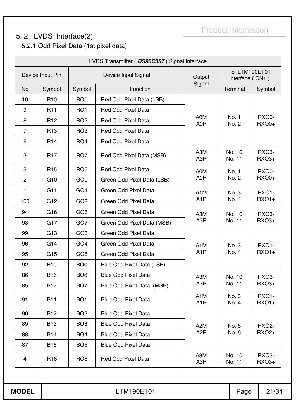# 5. 2 LVDS Interface(2)

5.2.1 Odd Pixel Data (1st pixel data)

|                |                  |                 | LVDS Transmitter (DS90C387) Signal Interface |                                      |                                  |                              |
|----------------|------------------|-----------------|----------------------------------------------|--------------------------------------|----------------------------------|------------------------------|
|                | Device Input Pin |                 | Device Input Signal                          | Output                               | To LTM190ET01<br>Interface (CN1) |                              |
| <b>No</b>      | Symbol           | Symbol          | Function                                     | Signal                               | Terminal                         | Symbol                       |
| 10             | R <sub>10</sub>  | RO <sub>0</sub> | Red Odd Pixel Data (LSB)                     |                                      |                                  |                              |
| 9              | <b>R11</b>       | RO <sub>1</sub> | <b>Red Odd Pixel Data</b>                    |                                      |                                  |                              |
| 8              | R <sub>12</sub>  | RO <sub>2</sub> | <b>Red Odd Pixel Data</b>                    | A0M<br>A0P                           | No. 1<br>No. 2                   | RXO0-<br><b>RXO0+</b>        |
| $\overline{7}$ | R <sub>13</sub>  | RO <sub>3</sub> | <b>Red Odd Pixel Data</b>                    |                                      |                                  |                              |
| 6              | R <sub>14</sub>  | RO <sub>4</sub> | Red Odd Pixel Data                           |                                      |                                  |                              |
| 3              | <b>R17</b>       | RO <sub>7</sub> | Red Odd Pixel Data (MSB)                     | A3M<br>A <sub>3</sub> P              | No. 10<br>No. 11                 | <b>RXO3-</b><br><b>RXO3+</b> |
| 5              | R <sub>15</sub>  | RO <sub>5</sub> | <b>Red Odd Pixel Data</b>                    | A0M                                  | No. 1                            | <b>RXO0-</b>                 |
| $\overline{c}$ | G <sub>10</sub>  | GO <sub>0</sub> | Green Odd Pixel Data (LSB)                   | A0P                                  | No. 2                            | <b>RXO0+</b>                 |
| 1              | G11              | GO <sub>1</sub> | Green Odd Pixel Data                         | A <sub>1</sub> M                     | No. 3                            | <b>RXO1-</b>                 |
| 100            | G <sub>12</sub>  | GO <sub>2</sub> | Green Odd Pixel Data                         | A <sub>1</sub> P                     | No. 4                            | <b>RXO1+</b>                 |
| 94             | G <sub>16</sub>  | GO <sub>6</sub> | Green Odd Pixel Data                         | A3M                                  | No. 10                           | <b>RXO3-</b>                 |
| 93             | G17              | GO <sub>7</sub> | Green Odd Pixel Data (MSB)                   | A <sub>3</sub> P                     | No. 11                           | <b>RXO3+</b>                 |
| 99             | G <sub>13</sub>  | GO <sub>3</sub> | Green Odd Pixel Data                         |                                      |                                  |                              |
| 96             | G14              | GO <sub>4</sub> | Green Odd Pixel Data                         | A <sub>1</sub> M                     | No. 3                            | <b>RXO1-</b>                 |
| 95             | G <sub>15</sub>  | GO <sub>5</sub> | Green Odd Pixel Data                         | A <sub>1</sub> P                     | No. 4                            | <b>RXO1+</b>                 |
| 92             | <b>B10</b>       | BO <sub>0</sub> | Blue Odd Pixel Data (LSB)                    |                                      |                                  |                              |
| 86             | <b>B16</b>       | BO <sub>6</sub> | <b>Blue Odd Pixel Data</b>                   | A3M                                  | No. 10                           | <b>RXO3-</b>                 |
| 85             | <b>B17</b>       | BO <sub>7</sub> | Blue Odd Pixel Data (MSB)                    | A <sub>3</sub> P                     | No. 11                           | <b>RXO3+</b>                 |
| 91             | <b>B11</b>       | BO <sub>1</sub> | <b>Blue Odd Pixel Data</b>                   | A <sub>1</sub> M<br>A <sub>1</sub> P | No. 3<br>No. 4                   | <b>RXO1-</b><br><b>RXO1+</b> |
| 90             | <b>B12</b>       | BO <sub>2</sub> | <b>Blue Odd Pixel Data</b>                   |                                      |                                  |                              |
| 89             | <b>B13</b>       | BO <sub>3</sub> | <b>Blue Odd Pixel Data</b>                   | A <sub>2</sub> M                     | No. 5                            | <b>RXO2-</b>                 |
| 88             | <b>B14</b>       | BO <sub>4</sub> | <b>Blue Odd Pixel Data</b>                   | A <sub>2</sub> P                     | No. 6                            | <b>RXO2+</b>                 |
| 87             | <b>B15</b>       | BO <sub>5</sub> | <b>Blue Odd Pixel Data</b>                   |                                      |                                  |                              |
| 4              | R <sub>16</sub>  | RO <sub>6</sub> | Red Odd Pixel Data                           | No. 10<br>No. 11                     | RXO3-<br><b>RXO3+</b>            |                              |
| <b>MODEL</b>   |                  |                 | LTM190ET01                                   |                                      | Page                             | 21/34                        |
|                |                  |                 |                                              |                                      |                                  |                              |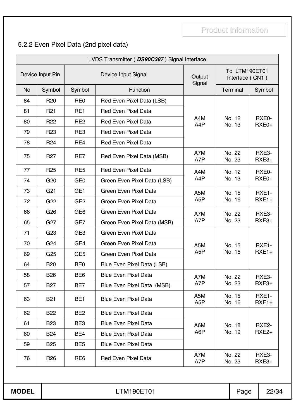# 5.2.2 Even Pixel Data (2nd pixel data)

| LVDS Transmitter (DS90C387) Signal Interface |                 |                 |                              |                         |                                  |                   |  |  |  |  |  |
|----------------------------------------------|-----------------|-----------------|------------------------------|-------------------------|----------------------------------|-------------------|--|--|--|--|--|
| Device Input Pin                             |                 |                 | Device Input Signal          | Output<br>Signal        | To LTM190ET01<br>Interface (CN1) |                   |  |  |  |  |  |
| <b>No</b>                                    | Symbol          | Symbol          | Function                     |                         | Terminal                         | Symbol            |  |  |  |  |  |
| 84                                           | <b>R20</b>      | RE <sub>0</sub> | Red Even Pixel Data (LSB)    |                         |                                  |                   |  |  |  |  |  |
| 81                                           | R <sub>21</sub> | RE1             | <b>Red Even Pixel Data</b>   |                         |                                  |                   |  |  |  |  |  |
| 80                                           | R <sub>22</sub> | RE <sub>2</sub> | <b>Red Even Pixel Data</b>   | A4M<br>A <sub>4</sub> P | No. 12<br>No. 13                 | RXE0-<br>RXE0+    |  |  |  |  |  |
| 79                                           | R <sub>23</sub> | RE3             | <b>Red Even Pixel Data</b>   |                         |                                  |                   |  |  |  |  |  |
| 78                                           | R <sub>24</sub> | RE4             | <b>Red Even Pixel Data</b>   |                         |                                  |                   |  |  |  |  |  |
| 75                                           | R <sub>27</sub> | RE7             | Red Even Pixel Data (MSB)    | A7M<br>A7P              | No. 22<br>No. 23                 | RXE3-<br>RXE3+    |  |  |  |  |  |
| 77                                           | R <sub>25</sub> | RE <sub>5</sub> | <b>Red Even Pixel Data</b>   | A4M                     | No. 12                           | RXE0-             |  |  |  |  |  |
| 74                                           | G <sub>20</sub> | GE <sub>0</sub> | Green Even Pixel Data (LSB)  | A4P                     | No. 13                           | RXE0+             |  |  |  |  |  |
| 73                                           | G <sub>21</sub> | GE <sub>1</sub> | Green Even Pixel Data        | A5M                     | No. 15                           | RXE1-             |  |  |  |  |  |
| 72                                           | G22             | GE <sub>2</sub> | <b>Green Even Pixel Data</b> | A <sub>5</sub> P        | No. 16                           | $RXE1+$           |  |  |  |  |  |
| 66                                           | G <sub>26</sub> | GE <sub>6</sub> | Green Even Pixel Data        | A7M                     | No. 22                           | RXE3-             |  |  |  |  |  |
| 65                                           | G <sub>27</sub> | GE7             | Green Even Pixel Data (MSB)  | A7P                     | No. 23                           | $RXE3+$           |  |  |  |  |  |
| 71                                           | G <sub>23</sub> | GE <sub>3</sub> | <b>Green Even Pixel Data</b> |                         | No. 15<br>No. 16                 |                   |  |  |  |  |  |
| 70                                           | G24             | GE4             | <b>Green Even Pixel Data</b> | A5M                     |                                  | RXE1-             |  |  |  |  |  |
| 69                                           | G <sub>25</sub> | GE <sub>5</sub> | <b>Green Even Pixel Data</b> | A <sub>5</sub> P        |                                  | $RXE1+$           |  |  |  |  |  |
| 64                                           | <b>B20</b>      | BE <sub>0</sub> | Blue Even Pixel Data (LSB)   |                         |                                  |                   |  |  |  |  |  |
| 58                                           | <b>B26</b>      | BE <sub>6</sub> | <b>Blue Even Pixel Data</b>  | A7M                     | No. 22                           | RXE3-             |  |  |  |  |  |
| 57                                           | <b>B27</b>      | BE7             | Blue Even Pixel Data (MSB)   | A7P                     | No. 23                           | RXE3+             |  |  |  |  |  |
| 63                                           | <b>B21</b>      | BE <sub>1</sub> | <b>Blue Even Pixel Data</b>  | A5M<br>A <sub>5</sub> P | No. 15<br>No. 16                 | RXE1-<br>$RXE1+$  |  |  |  |  |  |
| 62                                           | <b>B22</b>      | BE <sub>2</sub> | <b>Blue Even Pixel Data</b>  |                         |                                  |                   |  |  |  |  |  |
| 61                                           | <b>B23</b>      | BE3             | <b>Blue Even Pixel Data</b>  | A6M                     | No. 18                           | RXE2-             |  |  |  |  |  |
| 60                                           | <b>B24</b>      | BE4             | <b>Blue Even Pixel Data</b>  | A6P                     | No. 19                           | RXE <sub>2+</sub> |  |  |  |  |  |
| 59                                           | <b>B25</b>      | BE <sub>5</sub> | <b>Blue Even Pixel Data</b>  |                         |                                  |                   |  |  |  |  |  |
| 76                                           | R <sub>26</sub> | RE <sub>6</sub> | <b>Red Even Pixel Data</b>   | A7M<br>A7P              | No. 22<br>No. 23                 | RXE3-<br>RXE3+    |  |  |  |  |  |
|                                              |                 |                 |                              |                         |                                  |                   |  |  |  |  |  |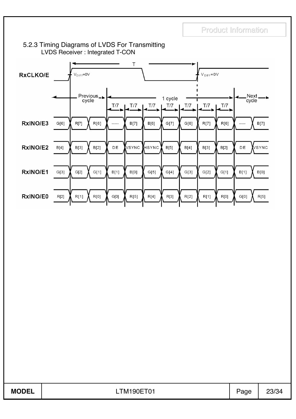Product Information



# 5.2.3 Timing Diagrams of LVDS For Transmitting

| <b>MODEL</b> | <b>TM190ET01</b><br>▃ | Page | 23/34 |
|--------------|-----------------------|------|-------|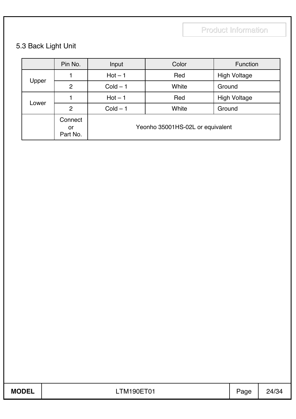# 5.3 Back Light Unit

|       | Pin No.                   | Input                            | Color           | <b>Function</b>     |  |  |  |  |  |  |
|-------|---------------------------|----------------------------------|-----------------|---------------------|--|--|--|--|--|--|
|       |                           | $Hot - 1$                        | Red             | <b>High Voltage</b> |  |  |  |  |  |  |
| Upper | $\overline{2}$            | $Cold - 1$                       | White           | Ground              |  |  |  |  |  |  |
| Lower |                           | $Hot - 1$                        | Red             | <b>High Voltage</b> |  |  |  |  |  |  |
|       | $\overline{2}$            | $Cold - 1$                       | White<br>Ground |                     |  |  |  |  |  |  |
|       | Connect<br>or<br>Part No. | Yeonho 35001HS-02L or equivalent |                 |                     |  |  |  |  |  |  |

| <b>MODEL</b><br>- 1- | <b>TM190E</b><br>V I | $\blacksquare$<br>age | 0.10<br>24/34<br>____ |
|----------------------|----------------------|-----------------------|-----------------------|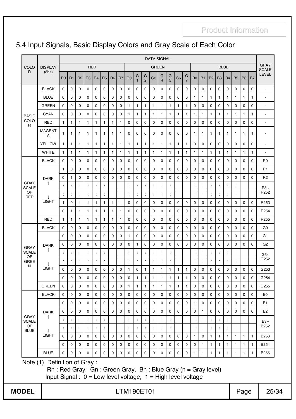# 5.4 Input Signals, Basic Display Colors and Gray Scale of Each Color

|                                               |                                                                                                                                                                        |                                     |              |             |                |                      |                  |                |                          |                      |                            |                      | <b>DATA SIGNAL</b>   |                      |                     |                              |                                    |                             |                   |                              |                              |                              |                              |                              |                              |                          |
|-----------------------------------------------|------------------------------------------------------------------------------------------------------------------------------------------------------------------------|-------------------------------------|--------------|-------------|----------------|----------------------|------------------|----------------|--------------------------|----------------------|----------------------------|----------------------|----------------------|----------------------|---------------------|------------------------------|------------------------------------|-----------------------------|-------------------|------------------------------|------------------------------|------------------------------|------------------------------|------------------------------|------------------------------|--------------------------|
| COLO                                          | <b>DISPLAY</b>                                                                                                                                                         |                                     |              |             |                | <b>RED</b>           |                  |                |                          |                      |                            |                      | <b>GREEN</b>         |                      |                     |                              |                                    |                             |                   |                              |                              | <b>BLUE</b>                  |                              | <b>GRAY</b><br><b>SCALE</b>  |                              |                          |
| R                                             | (8bit)                                                                                                                                                                 | R <sub>0</sub>                      | R1           | R2          | R <sub>3</sub> | <b>R4</b>            | R <sub>5</sub>   | R <sub>6</sub> | R <sub>7</sub>           | G <sub>0</sub>       | G<br>1                     | G<br>$\overline{2}$  | G <sub>3</sub>       | G<br>$\overline{4}$  | G<br>5              | G <sub>6</sub>               | G<br>$\overline{7}$                | B <sub>0</sub>              | <b>B1</b>         | <b>B2</b>                    | B <sub>3</sub>               | B4                           | <b>B5</b>                    | B <sub>6</sub>               | <b>B7</b>                    | <b>LEVEL</b>             |
|                                               | <b>BLACK</b>                                                                                                                                                           | $\Omega$                            | $\mathbf 0$  | 0           | 0              | 0                    | 0                | 0              | 0                        | 0                    | 0                          | 0                    | 0                    | 0                    | 0                   | 0                            | 0                                  | 0                           | 0                 | 0                            | 0                            | 0                            | 0                            | 0                            | 0                            | $\blacksquare$           |
|                                               | <b>BLUE</b>                                                                                                                                                            | $\mathbf{0}$                        | $\mathbf 0$  | 0           | $\Omega$       | $\Omega$             | $\Omega$         | 0              | 0                        | $\Omega$             | 0                          | 0                    | 0                    | 0                    | 0                   | $\Omega$                     | $\Omega$                           | $\mathbf{1}$                | 1                 | 1.                           | $\mathbf{1}$                 | 1                            | 1                            | $\mathbf{1}$                 | 1                            | $\overline{\phantom{a}}$ |
|                                               | <b>GREEN</b>                                                                                                                                                           | $\Omega$                            | 0            | 0           | 0              | 0                    | 0                | 0              | 0                        | 1                    | 1                          | 1                    | $\mathbf{1}$         | $\overline{1}$       | $\mathbf{1}$        | $\mathbf{1}$                 | $\mathbf{1}$                       | 0                           | 0                 | 0                            | 0                            | 0                            | 0                            | 0                            | 0                            | $\blacksquare$           |
| <b>BASIC</b>                                  | <b>CYAN</b>                                                                                                                                                            | $\mathbf{0}$                        | 0            | 0           | 0              | 0                    | 0                | 0              | 0                        | 1                    | 1                          | 1                    | $\mathbf{1}$         | $\mathbf{1}$         | $\mathbf{1}$        | $\mathbf{1}$                 | $\mathbf{1}$                       | $\mathbf{1}$                | $\mathbf{1}$      | $\mathbf{1}$                 | $\mathbf{1}$                 | 1                            | 1                            | 1                            | 1                            | $\overline{\phantom{a}}$ |
| COLO<br>R                                     | <b>RED</b>                                                                                                                                                             | $\mathbf{1}$                        | $\mathbf{1}$ | 1           | 1.             | $\mathbf{1}$         | 1                | 1              | $\mathbf{1}$             | 0                    | 0                          | 0                    | 0                    | 0                    | 0                   | 0                            | 0                                  | $\mathbf 0$                 | 0                 | $\mathbf 0$                  | $\Omega$                     | $\mathbf 0$                  | 0                            | 0                            | 0                            | $\overline{\phantom{a}}$ |
|                                               | <b>MAGENT</b><br>А                                                                                                                                                     | $\mathbf{1}$                        | $\mathbf{1}$ | 1           | 1.             | 1                    | 1                | 1              | 1.                       | 0                    | 0                          | 0                    | 0                    | 0                    | 0                   | 0                            | 0                                  | $\mathbf{1}$                | 1                 | 1.                           | $\mathbf{1}$                 | 1                            | 1.                           | $\mathbf{1}$                 | 1                            | $\overline{\phantom{a}}$ |
|                                               | <b>YELLOW</b>                                                                                                                                                          | $\mathbf{1}$                        | $\mathbf{1}$ | 1           | 1              | 1                    | 1                | $\mathbf{1}$   | $\mathbf{1}$             | $\mathbf{1}$         | $\mathbf{1}$               | $\mathbf{1}$         | $\mathbf{1}$         | $\overline{1}$       | 1                   | $\mathbf{1}$                 | $\mathbf{1}$                       | $\Omega$                    | $\Omega$          | 0                            | $\mathbf 0$                  | $\Omega$                     | 0                            | $\Omega$                     | $\Omega$                     | $\blacksquare$           |
|                                               | <b>WHITE</b>                                                                                                                                                           | $\mathbf{1}$                        | $\mathbf{1}$ | 1           | 1.             | $\mathbf{1}$         | $\mathbf{1}$     | $\mathbf{1}$   | $\mathbf{1}$             | $\mathbf{1}$         | 1                          | $\mathbf{1}$         | $\mathbf{1}$         | $\mathbf{1}$         | $\mathbf{1}$        | $\mathbf{1}$                 | $\mathbf{1}$                       | $\mathbf{1}$                | 1                 | $\mathbf{1}$                 | $\mathbf{1}$                 | 1                            | $\mathbf{1}$                 | $\mathbf{1}$                 | 1                            | $\blacksquare$           |
|                                               | <b>BLACK</b>                                                                                                                                                           | $\Omega$                            | 0            | 0           | 0              | 0                    | 0                | 0              | 0                        | 0                    | 0                          | 0                    | 0                    | 0                    | 0                   | 0                            | 0                                  | 0                           | 0                 | 0                            | 0                            | 0                            | 0                            | 0                            | 0                            | R0                       |
|                                               |                                                                                                                                                                        | $\mathbf{1}$                        | $\mathbf 0$  | 0           | 0              | $\mathbf 0$          | 0                | 0              | 0                        | 0                    | 0                          | 0                    | 0                    | 0                    | 0                   | 0                            | $\Omega$                           | $\mathbf 0$                 | 0                 | 0                            | 0                            | 0                            | 0                            | 0                            | $\mathbf 0$                  | R1                       |
|                                               | <b>DARK</b>                                                                                                                                                            | 0                                   | $\mathbf 1$  | 0           | 0              | $\mathbf 0$          | 0                | 0              | 0                        | 0                    | 0                          | 0                    | 0                    | 0                    | 0                   | 0                            | $\mathbf 0$                        | $\mathbf 0$                 | $\mathbf 0$       | 0                            | 0                            | 0                            | 0                            | 0                            | $\mathbf 0$                  | R <sub>2</sub>           |
| GRAY<br>↑<br><b>SCALE</b><br>OF<br><b>RED</b> |                                                                                                                                                                        | $\ddot{\cdot}$                      |              |             |                | $\ddot{\cdot}$       |                  |                |                          |                      | $\ddot{\cdot}$             | $\ddot{\phantom{a}}$ | t,                   |                      |                     |                              |                                    |                             |                   |                              | $\ddot{\cdot}$               |                              |                              |                              |                              | $R3\sim$                 |
|                                               |                                                                                                                                                                        | $\ddot{\phantom{a}}$                |              |             | $\cdot$        | $\ddot{\phantom{a}}$ | $\cdot$          |                |                          | ÷,                   | $\cdot$                    |                      | ÷                    | $\ddot{\phantom{a}}$ | ÷                   |                              |                                    | $\cdot$                     |                   | ÷                            | $\ddot{\phantom{a}}$         |                              |                              |                              |                              | R <sub>252</sub>         |
|                                               | LIGHT                                                                                                                                                                  | $\mathbf{1}$                        | 0            | 1           | 1              | 1                    | 1                | 1              | 1                        | 0                    | 0                          | 0                    | 0                    | 0                    | 0                   | 0                            | 0                                  | $\mathbf 0$                 | 0                 | 0                            | 0                            | 0                            | 0                            | 0                            | $\mathbf 0$                  | R <sub>253</sub>         |
|                                               |                                                                                                                                                                        | $\mathbf{0}$                        | $\mathbf{1}$ | 1           | 1.             | $\mathbf{1}$         | 1                | 1              | $\mathbf{1}$             | 0                    | 0                          | 0                    | 0                    | 0                    | 0                   | 0                            | $\Omega$                           | $\mathbf 0$                 | 0                 | 0                            | $\mathbf 0$                  | 0                            | 0                            | $\mathbf 0$                  | $\mathbf 0$                  | R <sub>254</sub>         |
|                                               | <b>RED</b>                                                                                                                                                             | $\mathbf{1}$                        | $\mathbf{1}$ | 1           | 1              | $\mathbf{1}$         | 1                | $\mathbf{1}$   | $\mathbf{1}$             | 0                    | 0                          | 0                    | 0                    | 0                    | 0                   | 0                            | $\mathbf 0$                        | $\mathbf 0$                 | 0                 | 0                            | 0                            | 0                            | 0                            | 0                            | $\mathbf 0$                  | R <sub>255</sub>         |
|                                               | <b>BLACK</b>                                                                                                                                                           | $\Omega$                            | 0            | 0           | 0              | 0                    | 0                | 0              | 0                        | 0                    | 0                          | 0                    | 0                    | 0                    | $\Omega$            | $\mathbf{0}$                 | $\Omega$                           | $\mathbf 0$                 | $\Omega$          | 0                            | 0                            | 0                            | 0                            | 0                            | $\mathbf 0$                  | G <sub>0</sub>           |
|                                               |                                                                                                                                                                        | $\Omega$                            | $\mathbf 0$  | $\Omega$    | 0              | $\mathbf 0$          | 0                | 0              | 0                        | 1                    | $\mathbf 0$                | 0                    | 0                    | 0                    | 0                   | 0                            | $\Omega$                           | $\mathbf 0$                 | 0                 | $\mathbf 0$                  | $\mathbf 0$                  | 0                            | 0                            | $\Omega$                     | 0                            | G1                       |
| GRAY                                          | <b>DARK</b>                                                                                                                                                            | $\mathbf 0$                         | 0            | 0           | 0              | 0                    | 0                | 0              | 0                        | 0                    | 1                          | 0                    | 0                    | 0                    | 0                   | 0                            | 0                                  | 0                           | 0                 | 0                            | 0                            | 0                            | 0                            | 0                            | 0                            | G <sub>2</sub>           |
| <b>SCALE</b><br><b>OF</b>                     | ↑                                                                                                                                                                      | $\ddot{\phantom{a}}$                |              |             | $\cdot$        | $\ddot{\cdot}$       | $\bullet$        |                |                          | $\ddot{\phantom{a}}$ | ÷                          | ÷                    | $\ddot{\phantom{a}}$ | $\ddot{\cdot}$       | ÷                   |                              |                                    | ÷                           |                   | ÷                            | $\ddot{\phantom{a}}$         |                              | $\ddot{\phantom{a}}$         |                              |                              | $G3\sim$                 |
| GREE<br>N                                     |                                                                                                                                                                        | ÷                                   |              |             |                | $\ddot{\cdot}$       |                  |                |                          | $\ddot{\cdot}$       |                            |                      | $\ddot{\cdot}$       | $\ddot{\cdot}$       | $\ddot{\cdot}$      |                              |                                    |                             |                   |                              | ÷                            |                              |                              |                              |                              | G252                     |
|                                               | LIGHT                                                                                                                                                                  | $\Omega$                            | 0            | 0           | $\Omega$       | 0                    | 0                | $\Omega$       | 0                        | 1                    | 0                          | 1                    | $\mathbf{1}$         | $\mathbf{1}$         | 1                   | $\mathbf{1}$                 | $\mathbf{1}$                       | $\mathbf 0$                 | $\mathbf{0}$      | 0                            | 0                            | $\Omega$                     | $\Omega$                     | 0                            | $\mathbf 0$                  | G253                     |
|                                               |                                                                                                                                                                        | 0                                   | 0            | 0           | $\mathsf 0$    | 0                    | $\mathsf 0$      | 0              | 0                        | 0                    | $\mathbf{1}$               | $\mathbf{1}$         | $\mathbf{1}$         | $\mathbf{1}$         | $\mathbf{1}$        | $\mathbf{1}$                 | $\mathbf{1}$                       | $\mathsf{O}\xspace$         | 0                 | $\mathsf{O}\xspace$          | 0                            | 0                            | 0                            | 0                            | 0                            | G254                     |
|                                               | <b>GREEN</b>                                                                                                                                                           | $\mathbf 0$                         | 0            | 0           | $\mathsf 0$    | $\mathsf 0$          | 0                | 0              | 0                        | $\mathbf{1}$         | $\mathbf{1}$               | $\mathbf{1}$         | $\mathbf{1}$         | $\overline{1}$       | $\mathbf{1}$        | $\mathbf{1}$                 | $\mathbf{1}$                       | $\mathbf 0$                 | $\mathbf 0$       | $\mathbf 0$                  | $\mathbf 0$                  | 0                            | 0                            | $\mathbf 0$                  | 0                            | G255                     |
|                                               | <b>BLACK</b>                                                                                                                                                           | $\mathbf 0$                         | $\mathbf 0$  | 0           | 0              | $\mathbf 0$          | $\mathbf 0$      | 0              | 0                        | 0                    | $\mathbf 0$                | 0                    | $\mathbf 0$          | 0                    | $\Omega$            | $\mathsf{O}$                 | $\mathbf 0$                        | $\mathbf 0$                 | 0                 | $\mathsf 0$                  | 0                            | 0                            | 0                            | $\mathbf 0$                  | $\mathbf 0$                  | B <sub>0</sub>           |
|                                               |                                                                                                                                                                        | 0                                   | 0            | 0           | 0              | $\mathbf 0$          | 0                | 0              | 0                        | 0                    | 0                          | 0                    | 0                    | 0                    | $\mathbf 0$         | $\mathsf{O}$                 | $\mathbf 0$                        | $\mathbf{1}$                | 0                 | 0                            | 0                            | 0                            | 0                            | 0                            | 0                            | <b>B1</b>                |
| <b>GRAY</b>                                   | <b>DARK</b><br>↑                                                                                                                                                       | $\mathsf 0$                         | $\mathbf 0$  | $\mathbf 0$ | $\mathbf 0$    | $\mathbf 0$          | $\mathbf 0$      | $\mathsf{o}$   | $\mathbf 0$              | 0                    | $\mathsf 0$                | 0                    | $\mathbf 0$          | $\mathbf 0$          | $\mathbf 0$         | $\mathbf 0$                  | $\mathbf 0$                        | $\mathsf 0$                 | $\mathbf{1}$      | $\mathbf 0$                  | $\mathbf 0$                  | $\mathbf 0$                  | 0                            | $\mathbf 0$                  | $\mathbf 0$                  | <b>B2</b>                |
| <b>SCALE</b><br>OF                            |                                                                                                                                                                        | $\ddot{\phantom{a}}$                |              |             | ÷              | $\ddot{\phantom{a}}$ |                  |                |                          | $\ddot{\phantom{a}}$ | ÷                          |                      | $\ddot{\cdot}$       | $\ddot{\phantom{a}}$ | ÷                   |                              |                                    | $\ddot{\phantom{a}}$        |                   | ÷                            | $\ddot{\phantom{a}}$         |                              | ÷                            |                              |                              | $B3\sim$<br>B252         |
| <b>BLUE</b>                                   | <b>LIGHT</b>                                                                                                                                                           | $\ddot{\phantom{a}}$<br>$\mathbf 0$ | $\mathbf 0$  | $\Omega$    |                | ÷<br>$\mathbf 0$     | $\mathbf 0$      |                |                          | $\ddot{\cdot}$<br>0  |                            |                      | ÷<br>$\mathsf{o}$    | $\ddot{\cdot}$       | $\ddot{\cdot}$<br>0 |                              |                                    |                             |                   |                              | $\ddot{\phantom{a}}$         |                              |                              |                              |                              |                          |
|                                               |                                                                                                                                                                        | $\mathbf 0$                         | $\mathbf 0$  | $\mathbf 0$ | 0<br>0         | $\mathbf 0$          |                  | 0<br>0         | $\mathsf{O}\xspace$<br>0 | $\mathbf 0$          | $\mathbf 0$<br>$\mathsf 0$ | 0<br>$\mathsf{O}$    | 0                    | 0<br>$\mathbf 0$     | $\mathbf 0$         | $\mathsf{O}$<br>$\mathsf{O}$ | $\mathsf{O}\xspace$<br>$\mathbf 0$ | $\mathbf{1}$<br>$\mathbf 0$ | 0<br>$\mathbf{1}$ | $\mathbf{1}$                 | $\mathbf{1}$                 | $\mathbf{1}$                 | $\mathbf{1}$                 | $\mathbf{1}$                 | $\mathbf{1}$<br>$\mathbf{1}$ | B253<br><b>B254</b>      |
|                                               | <b>BLUE</b>                                                                                                                                                            | $\mathbf 0$                         | $\mathbf 0$  | $\mathbf 0$ | $\mathbf 0$    | $\mathbf 0$          | 0<br>$\mathbf 0$ | 0              | 0                        | $\mathbf 0$          | $\mathsf{O}\xspace$        | $\mathsf{O}\xspace$  | $\mathsf 0$          | $\pmb{0}$            | $\mathbf 0$         | $\mathsf{O}\xspace$          | $\pmb{0}$                          | $\mathbf{1}$                | $\mathbf{1}$      | $\mathbf{1}$<br>$\mathbf{1}$ | $\mathbf{1}$<br>$\mathbf{1}$ | $\mathbf{1}$<br>$\mathbf{1}$ | $\mathbf{1}$<br>$\mathbf{1}$ | $\mathbf{1}$<br>$\mathbf{1}$ | $\mathbf{1}$                 | <b>B255</b>              |
|                                               | Note (1) Definition of Gray:<br>$Rn$ : Red Gray, Gn: Green Gray, Bn: Blue Gray ( $n =$ Gray level)<br>Input Signal : $0 = Low$ level voltage, $1 = High$ level voltage |                                     |              |             |                |                      |                  |                |                          |                      |                            |                      |                      |                      |                     |                              |                                    |                             |                   |                              |                              |                              |                              |                              |                              |                          |
| <b>MODEL</b>                                  |                                                                                                                                                                        |                                     |              |             |                |                      |                  |                | <b>LTM190ET01</b>        |                      |                            |                      |                      |                      |                     |                              |                                    |                             |                   |                              |                              |                              |                              | Page                         |                              | 25/34                    |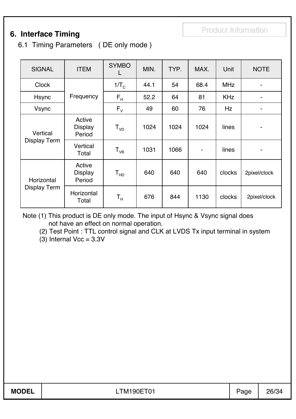# **6. Interface Timing**

6.1 Timing Parameters ( DE only mode )

| <b>SIGNAL</b>                   | <b>ITEM</b>                        | <b>SYMBO</b><br>L           | MIN. | TYP. | MAX. | Unit       | <b>NOTE</b>              |
|---------------------------------|------------------------------------|-----------------------------|------|------|------|------------|--------------------------|
| <b>Clock</b>                    |                                    | $1/\text{T}_\text{C}$       | 44.1 | 54   | 68.4 | <b>MHz</b> | $\blacksquare$           |
| <b>Hsync</b>                    | Frequency                          | $F_H$                       | 52.2 | 64   | 81   | <b>KHz</b> | $\overline{\phantom{a}}$ |
| Vsync                           |                                    | $F_{V}$                     | 49   | 60   | 76   | Hz         | ٠                        |
| Vertical<br><b>Display Term</b> | Active<br><b>Display</b><br>Period | $T_{VD}$                    | 1024 | 1024 | 1024 | lines      | $\blacksquare$           |
|                                 | Vertical<br>Total                  | $T_{VB}$                    | 1031 | 1066 |      | lines      |                          |
| Horizontal                      | Active<br><b>Display</b><br>Period | ${\mathsf T}_{\mathsf{HD}}$ | 640  | 640  | 640  | clocks     | 2pixel/clock             |
| Display Term                    | Horizontal<br>Total                | $\mathsf{T}_\mathsf{H}$     | 676  | 844  | 1130 | clocks     | 2pixel/clock             |

Note (1) This product is DE only mode. The input of Hsync & Vsync signal does not have an effect on normal operation.

(2) Test Point : TTL control signal and CLK at LVDS Tx input terminal in system

 $(3)$  Internal Vcc = 3.3V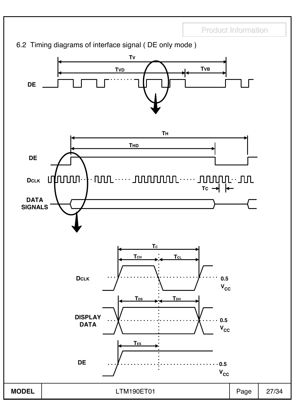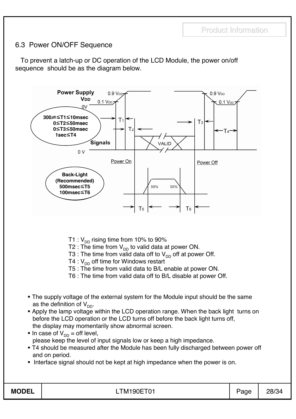#### 6.3 Power ON/OFF Sequence

To prevent a latch-up or DC operation of the LCD Module, the power on/off sequence should be as the diagram below.



- T1 :  $V_{DD}$  rising time from 10% to 90%
- T2 : The time from  $V_{DD}$  to valid data at power ON.
- T3 : The time from valid data off to  $V_{DD}$  off at power Off.
- T4 :  $V_{DD}$  off time for Windows restart
- T5 : The time from valid data to B/L enable at power ON.
- T6 : The time from valid data off to B/L disable at power Off.
- The supply voltage of the external system for the Module input should be the same as the definition of  $V_{DD}$ .
- Apply the lamp voltage within the LCD operation range. When the back light turns on before the LCD operation or the LCD turns off before the back light turns off, the display may momentarily show abnormal screen.
- In case of  $V_{DD} =$  off level, please keep the level of input signals low or keep a high impedance.
- T4 should be measured after the Module has been fully discharged between power off and on period.
- Interface signal should not be kept at high impedance when the power is on.

| <b>MODEL</b> | $\cdots$<br>90E<br>M1<br>v<br>- | _<br>. ~ ~<br>aue | የ/34<br>ററ<br>37.<br>--- |
|--------------|---------------------------------|-------------------|--------------------------|
|              |                                 |                   |                          |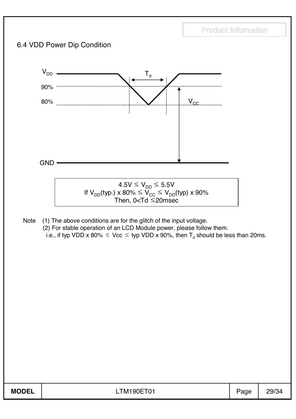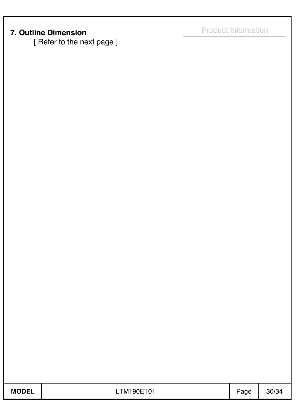# **7. Outline Dimension**

[ Refer to the next page ]

Product Information

| <b>MODEL</b> | LTM190ET01 | Page | 30/34 |
|--------------|------------|------|-------|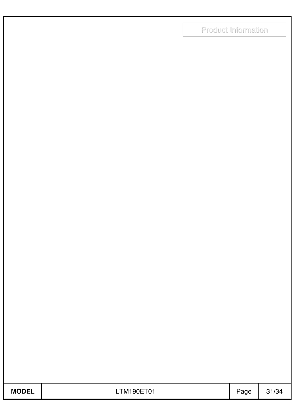Product Information

| <b>MODEL</b> | LTM190ET01 | Page | 31/34 |
|--------------|------------|------|-------|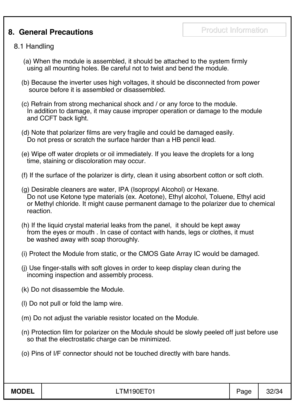# **8. General Precautions**

#### 8.1 Handling

- (a) When the module is assembled, it should be attached to the system firmly using all mounting holes. Be careful not to twist and bend the module.
- (b) Because the inverter uses high voltages, it should be disconnected from power source before it is assembled or disassembled.
- (c) Refrain from strong mechanical shock and / or any force to the module. In addition to damage, it may cause improper operation or damage to the module and CCFT back light.
- (d) Note that polarizer films are very fragile and could be damaged easily. Do not press or scratch the surface harder than a HB pencil lead.
- (e) Wipe off water droplets or oil immediately. If you leave the droplets for a long time, staining or discoloration may occur.
- (f) If the surface of the polarizer is dirty, clean it using absorbent cotton or soft cloth.
- (g) Desirable cleaners are water, IPA (Isopropyl Alcohol) or Hexane. Do not use Ketone type materials (ex. Acetone), Ethyl alcohol, Toluene, Ethyl acid or Methyl chloride. It might cause permanent damage to the polarizer due to chemical reaction.
- (h) If the liquid crystal material leaks from the panel, it should be kept away from the eyes or mouth . In case of contact with hands, legs or clothes, it must be washed away with soap thoroughly.
- (i) Protect the Module from static, or the CMOS Gate Array IC would be damaged.
- (j) Use finger-stalls with soft gloves in order to keep display clean during the incoming inspection and assembly process.
- (k) Do not disassemble the Module.
- (l) Do not pull or fold the lamp wire.
- (m) Do not adjust the variable resistor located on the Module.
- (n) Protection film for polarizer on the Module should be slowly peeled off just before use so that the electrostatic charge can be minimized.
- (o) Pins of I/F connector should not be touched directly with bare hands.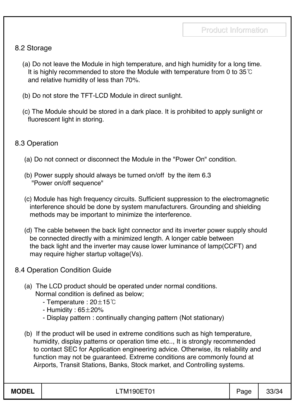#### 8.2 Storage

- (a) Do not leave the Module in high temperature, and high humidity for a long time. It is highly recommended to store the Module with temperature from 0 to  $35^{\circ}$ C and relative humidity of less than 70%.
- (b) Do not store the TFT-LCD Module in direct sunlight.
- (c) The Module should be stored in a dark place. It is prohibited to apply sunlight or fluorescent light in storing.

#### 8.3 Operation

- (a) Do not connect or disconnect the Module in the "Power On" condition.
- (b) Power supply should always be turned on/off by the item 6.3 "Power on/off sequence"
- (c) Module has high frequency circuits. Sufficient suppression to the electromagnetic interference should be done by system manufacturers. Grounding and shielding methods may be important to minimize the interference.
- (d) The cable between the back light connector and its inverter power supply should be connected directly with a minimized length. A longer cable between the back light and the inverter may cause lower luminance of lamp(CCFT) and may require higher startup voltage(Vs).
- 8.4 Operation Condition Guide
	- (a) The LCD product should be operated under normal conditions. Normal condition is defined as below;
		- Temperature :  $20\pm15^{\circ}$ C
		- Humidity :  $65\pm20\%$
		- Display pattern : continually changing pattern (Not stationary)
	- (b) If the product will be used in extreme conditions such as high temperature, humidity, display patterns or operation time etc.., It is strongly recommended to contact SEC for Application engineering advice. Otherwise, its reliability and function may not be guaranteed. Extreme conditions are commonly found at Airports, Transit Stations, Banks, Stock market, and Controlling systems.

| <b>MODEL</b> | <b>TM190ET01</b> | _<br>Page | 33/34 |
|--------------|------------------|-----------|-------|
|--------------|------------------|-----------|-------|